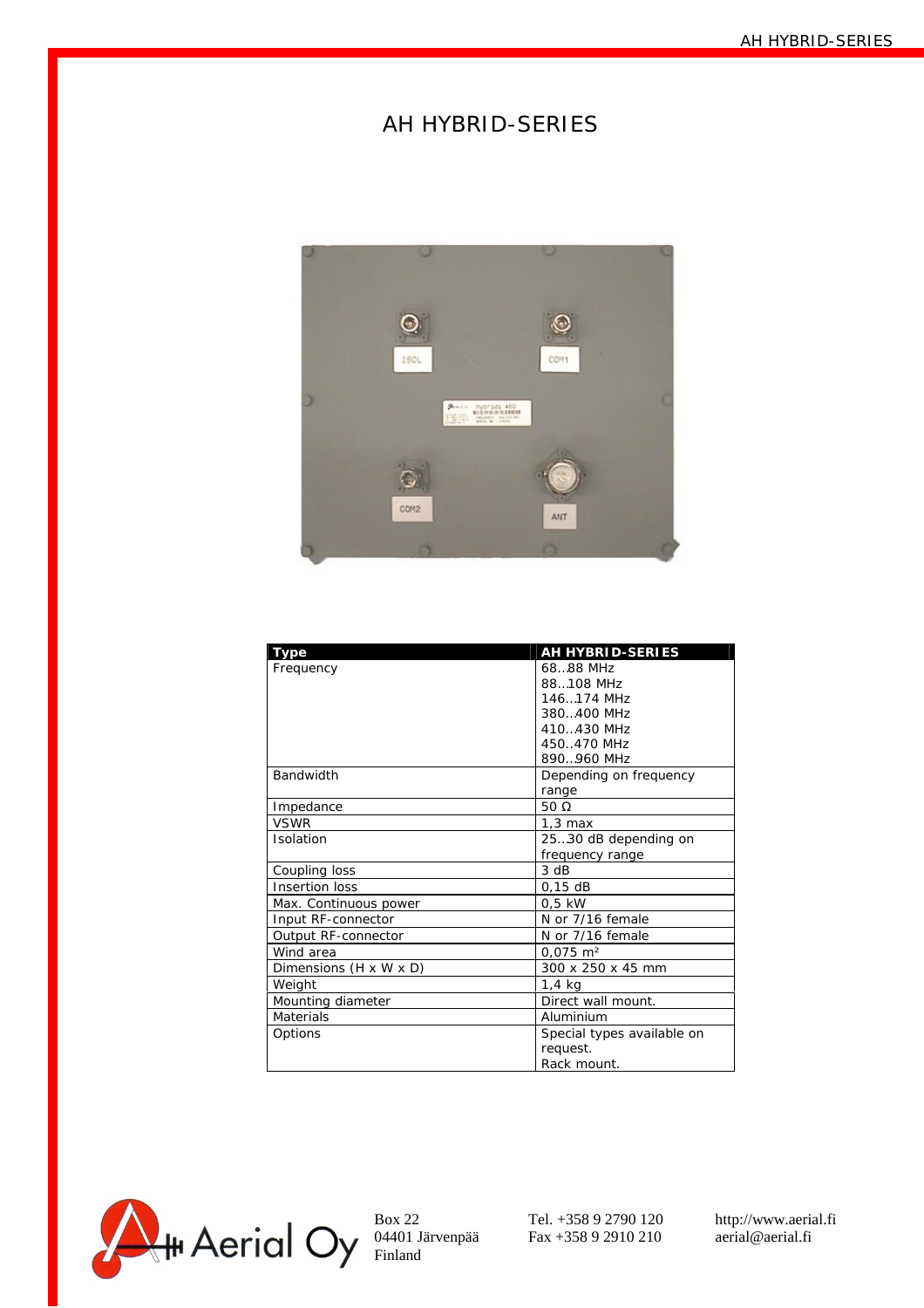## AH HYBRID-SERIES



| Type                   | AH HYBRID-SERIES           |
|------------------------|----------------------------|
| Frequency              | 68.88 MHz                  |
|                        | 88108 MHz                  |
|                        | 146174 MHz                 |
|                        | 380400 MHz                 |
|                        | 410430 MHz                 |
|                        | 450470 MHz                 |
|                        | 890960 MHz                 |
| Bandwidth              | Depending on frequency     |
|                        | range                      |
| Impedance              | 50 $\Omega$                |
| <b>VSWR</b>            | $1,3$ max                  |
| Isolation              | 2530 dB depending on       |
|                        | frequency range            |
| Coupling loss          | 3 dB                       |
| Insertion loss         | $0,15$ dB                  |
| Max. Continuous power  | $0,5$ kW                   |
| Input RF-connector     | N or 7/16 female           |
| Output RF-connector    | N or 7/16 female           |
| Wind area              | $0,075 \text{ m}^2$        |
| Dimensions (H x W x D) | 300 x 250 x 45 mm          |
| Weight                 | $1.4$ kg                   |
| Mounting diameter      | Direct wall mount.         |
| <b>Materials</b>       | Aluminium                  |
| Options                | Special types available on |
|                        | request.                   |
|                        | Rack mount.                |

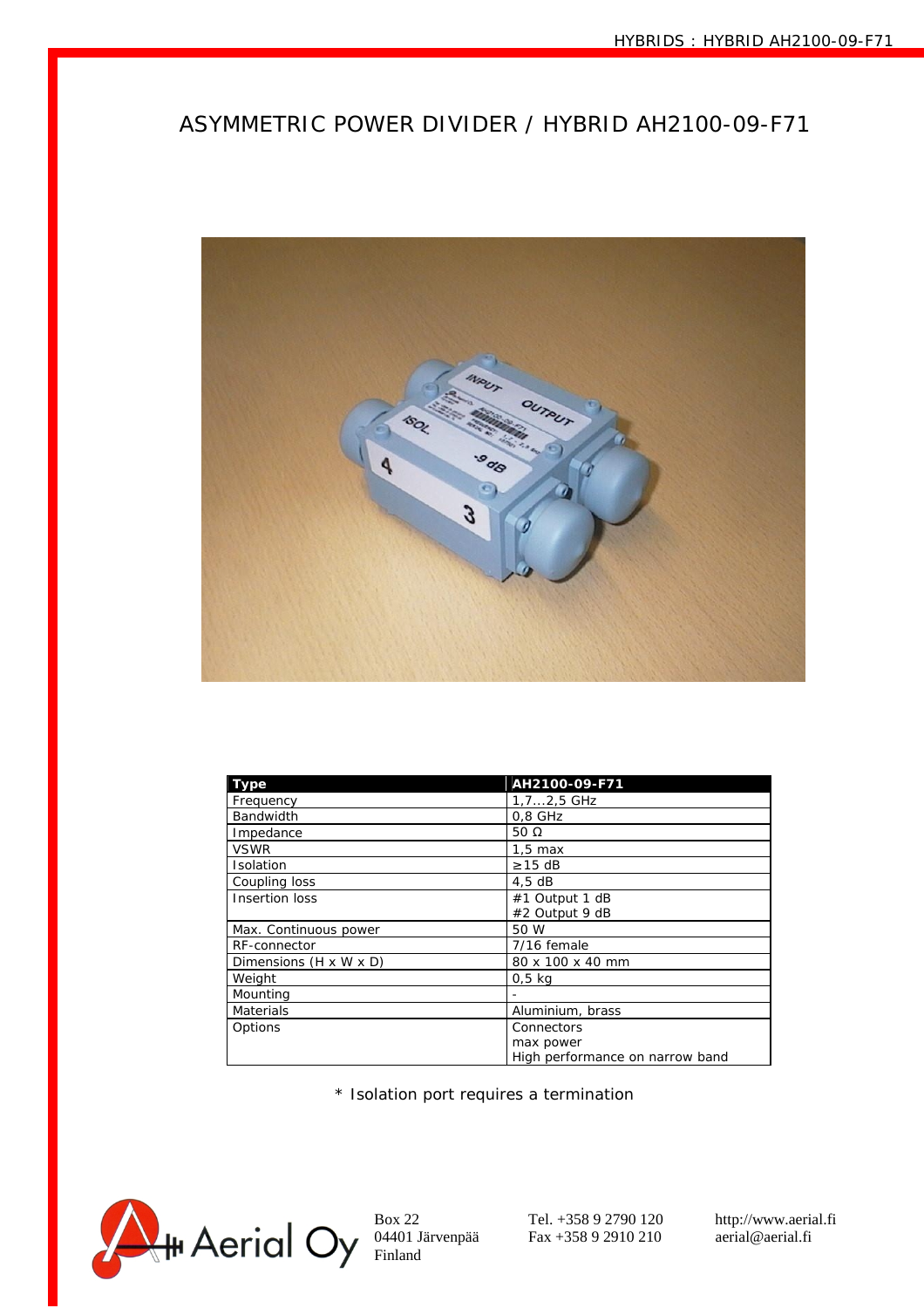## ASYMMETRIC POWER DIVIDER / HYBRID AH2100-09-F71



| Type                   | AH2100-09-F71                   |
|------------------------|---------------------------------|
| Frequency              | $1, 72, 5$ GHz                  |
| Bandwidth              | $0,8$ GHz                       |
| Impedance              | 50 $\Omega$                     |
| <b>VSWR</b>            | $1.5 \text{ max}$               |
| Isolation              | $\geq$ 15 dB                    |
| Coupling loss          | 4,5dB                           |
| Insertion loss         | #1 Output 1 dB                  |
|                        | #2 Output 9 dB                  |
| Max. Continuous power  | 50 W                            |
| RF-connector           | 7/16 female                     |
| Dimensions (H x W x D) | 80 x 100 x 40 mm                |
| Weight                 | $0.5$ kg                        |
| Mounting               |                                 |
| <b>Materials</b>       | Aluminium, brass                |
| Options                | Connectors                      |
|                        | max power                       |
|                        | High performance on narrow band |

\* Isolation port requires a termination



 $0.4401$  Järvenpää Fax +358 9 2910 210 aerial@aerial.fi<br>Finland Fax +358 9 2910 210 aerial@aerial.fi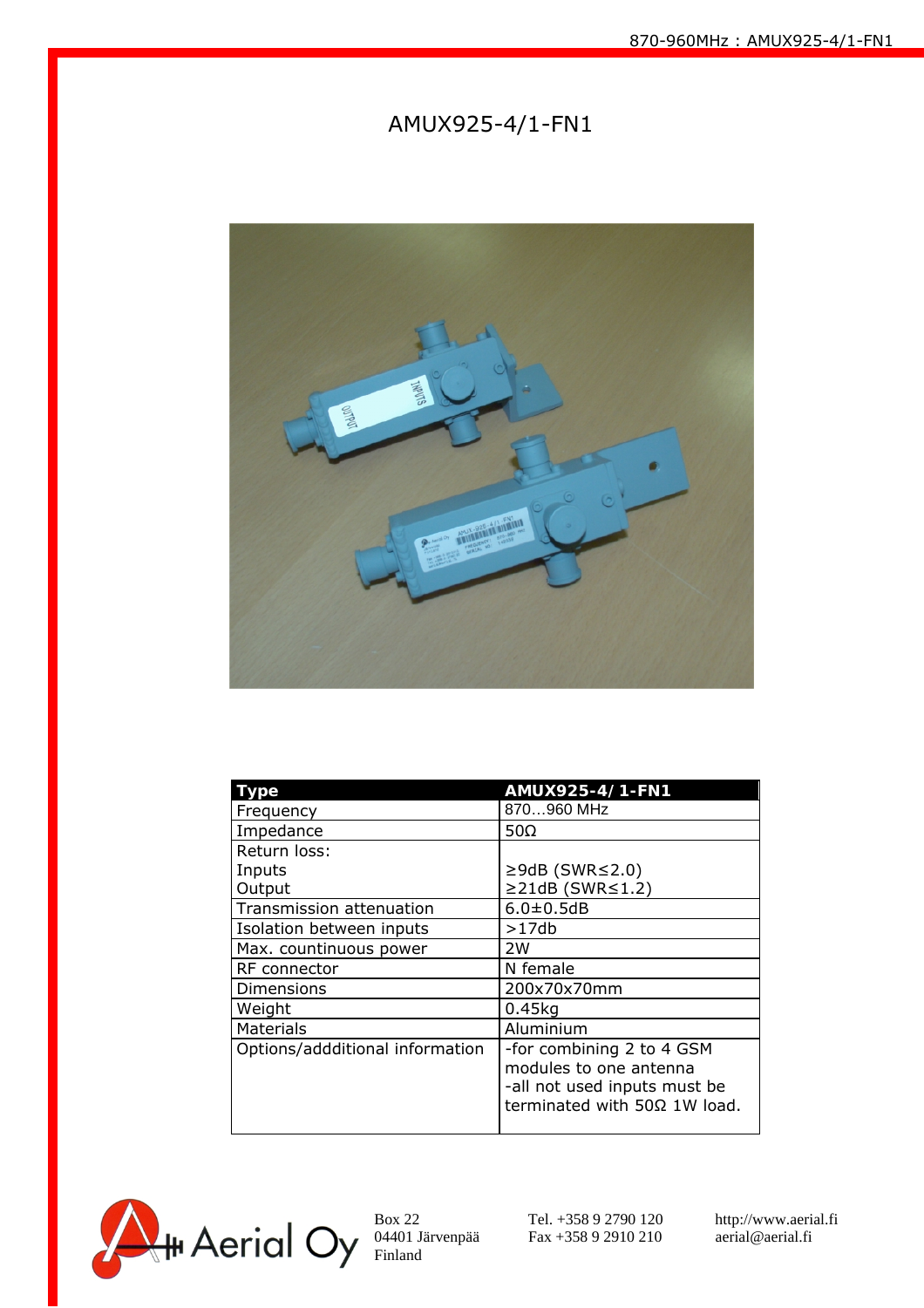## AMUX925-4/1-FN1



| <b>Type</b>                     | AMUX925-4/1-FN1                                                                                                     |
|---------------------------------|---------------------------------------------------------------------------------------------------------------------|
| Frequency                       | 870960 MHz                                                                                                          |
| Impedance                       | 50 $\Omega$                                                                                                         |
| Return loss:                    |                                                                                                                     |
| Inputs                          | $\geq$ 9dB (SWR $\leq$ 2.0)                                                                                         |
| Output                          | $\geq$ 21dB (SWR $\leq$ 1.2)                                                                                        |
| Transmission attenuation        | $6.0 + 0.5$ dB                                                                                                      |
| Isolation between inputs        | >17db                                                                                                               |
| Max. countinuous power          | 2W                                                                                                                  |
| RF connector                    | N female                                                                                                            |
| Dimensions                      | 200x70x70mm                                                                                                         |
| Weight                          | $0.45$ kg                                                                                                           |
| <b>Materials</b>                | Aluminium                                                                                                           |
| Options/addditional information | -for combining 2 to 4 GSM<br>modules to one antenna<br>-all not used inputs must be<br>terminated with 50Ω 1W load. |
|                                 |                                                                                                                     |



04401 Järvenpää Fax +358 9 2910 210 aerial@aerial.fi<br>Finland Fax +358 9 2910 210 aerial@aerial.fi